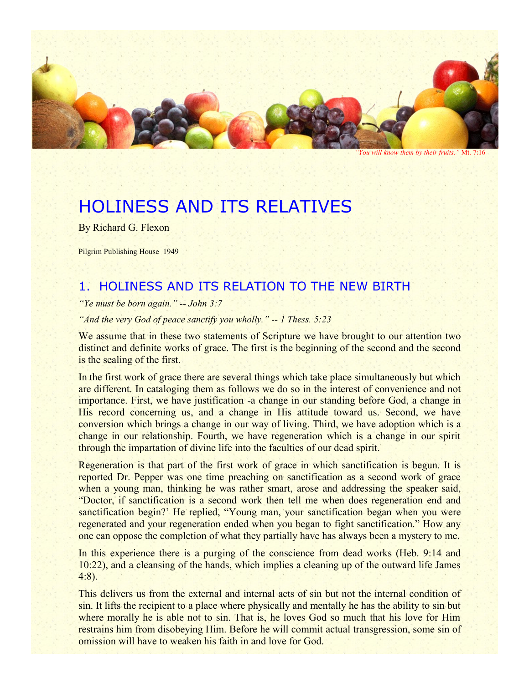

*"You will know them by their fruits."* Mt. 7:16

# HOLINESS AND ITS RELATIVES

By Richard G. Flexon

Pilgrim Publishing House 1949

# 1. HOLINESS AND ITS RELATION TO THE NEW BIRTH

*"Ye must be born again." -- John 3:7*

*"And the very God of peace sanctify you wholly." -- 1 Thess. 5:23*

We assume that in these two statements of Scripture we have brought to our attention two distinct and definite works of grace. The first is the beginning of the second and the second is the sealing of the first.

In the first work of grace there are several things which take place simultaneously but which are different. In cataloging them as follows we do so in the interest of convenience and not importance. First, we have justification -a change in our standing before God, a change in His record concerning us, and a change in His attitude toward us. Second, we have conversion which brings a change in our way of living. Third, we have adoption which is a change in our relationship. Fourth, we have regeneration which is a change in our spirit through the impartation of divine life into the faculties of our dead spirit.

Regeneration is that part of the first work of grace in which sanctification is begun. It is reported Dr. Pepper was one time preaching on sanctification as a second work of grace when a young man, thinking he was rather smart, arose and addressing the speaker said, "Doctor, if sanctification is a second work then tell me when does regeneration end and sanctification begin?' He replied, "Young man, your sanctification began when you were regenerated and your regeneration ended when you began to fight sanctification." How any one can oppose the completion of what they partially have has always been a mystery to me.

In this experience there is a purging of the conscience from dead works (Heb. 9:14 and 10:22), and a cleansing of the hands, which implies a cleaning up of the outward life James 4:8).

This delivers us from the external and internal acts of sin but not the internal condition of sin. It lifts the recipient to a place where physically and mentally he has the ability to sin but where morally he is able not to sin. That is, he loves God so much that his love for Him restrains him from disobeying Him. Before he will commit actual transgression, some sin of omission will have to weaken his faith in and love for God.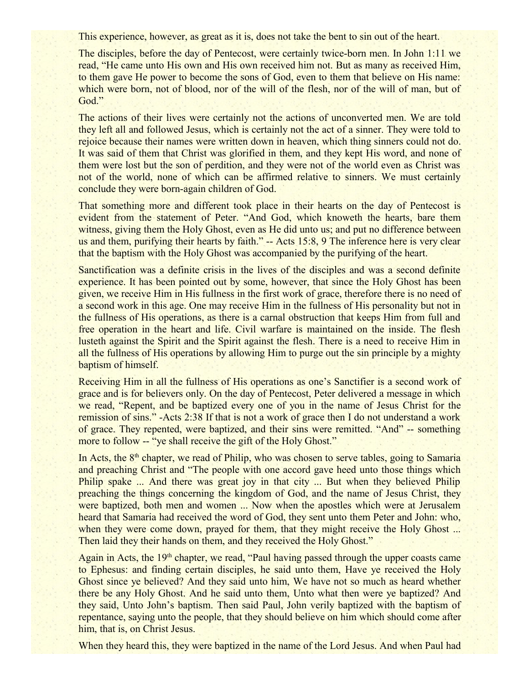This experience, however, as great as it is, does not take the bent to sin out of the heart.

The disciples, before the day of Pentecost, were certainly twice-born men. In John 1:11 we read, "He came unto His own and His own received him not. But as many as received Him, to them gave He power to become the sons of God, even to them that believe on His name: which were born, not of blood, nor of the will of the flesh, nor of the will of man, but of God."

The actions of their lives were certainly not the actions of unconverted men. We are told they left all and followed Jesus, which is certainly not the act of a sinner. They were told to rejoice because their names were written down in heaven, which thing sinners could not do. It was said of them that Christ was glorified in them, and they kept His word, and none of them were lost but the son of perdition, and they were not of the world even as Christ was not of the world, none of which can be affirmed relative to sinners. We must certainly conclude they were born-again children of God.

That something more and different took place in their hearts on the day of Pentecost is evident from the statement of Peter. "And God, which knoweth the hearts, bare them witness, giving them the Holy Ghost, even as He did unto us; and put no difference between us and them, purifying their hearts by faith." -- Acts 15:8, 9 The inference here is very clear that the baptism with the Holy Ghost was accompanied by the purifying of the heart.

Sanctification was a definite crisis in the lives of the disciples and was a second definite experience. It has been pointed out by some, however, that since the Holy Ghost has been given, we receive Him in His fullness in the first work of grace, therefore there is no need of a second work in this age. One may receive Him in the fullness of His personality but not in the fullness of His operations, as there is a carnal obstruction that keeps Him from full and free operation in the heart and life. Civil warfare is maintained on the inside. The flesh lusteth against the Spirit and the Spirit against the flesh. There is a need to receive Him in all the fullness of His operations by allowing Him to purge out the sin principle by a mighty baptism of himself.

Receiving Him in all the fullness of His operations as one's Sanctifier is a second work of grace and is for believers only. On the day of Pentecost, Peter delivered a message in which we read, "Repent, and be baptized every one of you in the name of Jesus Christ for the remission of sins." -Acts 2:38 If that is not a work of grace then I do not understand a work of grace. They repented, were baptized, and their sins were remitted. "And" -- something more to follow -- "ye shall receive the gift of the Holy Ghost."

In Acts, the  $8<sup>th</sup>$  chapter, we read of Philip, who was chosen to serve tables, going to Samaria and preaching Christ and "The people with one accord gave heed unto those things which Philip spake ... And there was great joy in that city ... But when they believed Philip preaching the things concerning the kingdom of God, and the name of Jesus Christ, they were baptized, both men and women ... Now when the apostles which were at Jerusalem heard that Samaria had received the word of God, they sent unto them Peter and John: who, when they were come down, prayed for them, that they might receive the Holy Ghost ... Then laid they their hands on them, and they received the Holy Ghost."

Again in Acts, the 19<sup>th</sup> chapter, we read, "Paul having passed through the upper coasts came to Ephesus: and finding certain disciples, he said unto them, Have ye received the Holy Ghost since ye believed? And they said unto him, We have not so much as heard whether there be any Holy Ghost. And he said unto them, Unto what then were ye baptized? And they said, Unto John's baptism. Then said Paul, John verily baptized with the baptism of repentance, saying unto the people, that they should believe on him which should come after him, that is, on Christ Jesus.

When they heard this, they were baptized in the name of the Lord Jesus. And when Paul had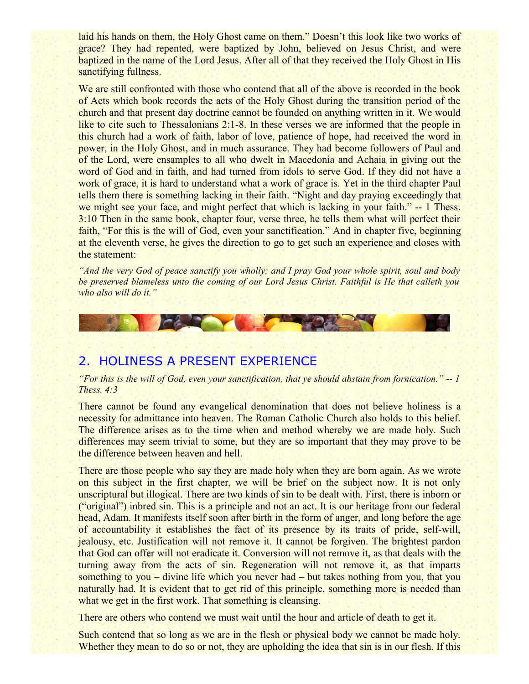laid his hands on them, the Holy Ghost came on them." Doesn't this look like two works of grace? They had repented, were baptized by John, believed on Jesus Christ, and were baptized in the name of the Lord Jesus. After all of that they received the Holy Ghost in His sanctifying fullness.

We are still confronted with those who contend that all of the above is recorded in the book of Acts which book records the acts of the Holy Ghost during the transition period of the church and that present day doctrine cannot be founded on anything written in it. We would like to cite such to Thessalonians 2:1-8. In these verses we are informed that the people in this church had a work of faith, labor of love, patience of hope, had received the word in power, in the Holy Ghost, and in much assurance. They had become followers of Paul and of the Lord, were ensamples to all who dwelt in Macedonia and Achaia in giving out the word of God and in faith, and had turned from idols to serve God. If they did not have a work of grace, it is hard to understand what a work of grace is. Yet in the third chapter Paul tells them there is something lacking in their faith. "Night and day praying exceedingly that we might see your face, and might perfect that which is lacking in your faith." -- 1 Thess. 3:10 Then in the same book, chapter four, verse three, he tells them what will perfect their faith, "For this is the will of God, even your sanctification." And in chapter five, beginning at the eleventh verse, he gives the direction to go to get such an experience and closes with the statement:

*"And the very God of peace sanctify you wholly; and I pray God your whole spirit, soul and body be preserved blameless unto the coming of our Lord Jesus Christ. Faithful is He that calleth you who also will do it."*



#### 2. HOLINESS A PRESENT EXPERIENCE

#### *"For this is the will of God, even your sanctification, that ye should abstain from fornication." -- 1 Thess. 4:3*

There cannot be found any evangelical denomination that does not believe holiness is a necessity for admittance into heaven. The Roman Catholic Church also holds to this belief. The difference arises as to the time when and method whereby we are made holy. Such differences may seem trivial to some, but they are so important that they may prove to be the difference between heaven and hell.

There are those people who say they are made holy when they are born again. As we wrote on this subject in the first chapter, we will be brief on the subject now. It is not only unscriptural but illogical. There are two kinds of sin to be dealt with. First, there is inborn or ("original") inbred sin. This is a principle and not an act. It is our heritage from our federal head, Adam. It manifests itself soon after birth in the form of anger, and long before the age of accountability it establishes the fact of its presence by its traits of pride, self-will, jealousy, etc. Justification will not remove it. It cannot be forgiven. The brightest pardon that God can offer will not eradicate it. Conversion will not remove it, as that deals with the turning away from the acts of sin. Regeneration will not remove it, as that imparts something to you – divine life which you never had – but takes nothing from you, that you naturally had. It is evident that to get rid of this principle, something more is needed than what we get in the first work. That something is cleansing.

There are others who contend we must wait until the hour and article of death to get it.

Such contend that so long as we are in the flesh or physical body we cannot be made holy. Whether they mean to do so or not, they are upholding the idea that sin is in our flesh. If this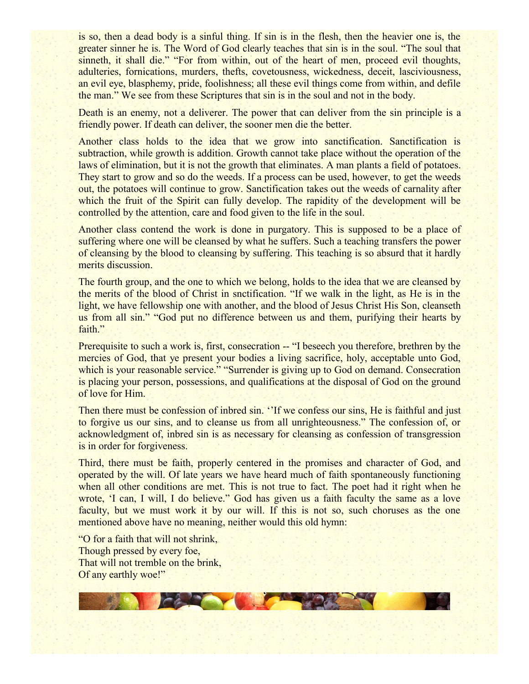is so, then a dead body is a sinful thing. If sin is in the flesh, then the heavier one is, the greater sinner he is. The Word of God clearly teaches that sin is in the soul. "The soul that sinneth, it shall die." "For from within, out of the heart of men, proceed evil thoughts, adulteries, fornications, murders, thefts, covetousness, wickedness, deceit, lasciviousness, an evil eye, blasphemy, pride, foolishness; all these evil things come from within, and defile the man." We see from these Scriptures that sin is in the soul and not in the body.

Death is an enemy, not a deliverer. The power that can deliver from the sin principle is a friendly power. If death can deliver, the sooner men die the better.

Another class holds to the idea that we grow into sanctification. Sanctification is subtraction, while growth is addition. Growth cannot take place without the operation of the laws of elimination, but it is not the growth that eliminates. A man plants a field of potatoes. They start to grow and so do the weeds. If a process can be used, however, to get the weeds out, the potatoes will continue to grow. Sanctification takes out the weeds of carnality after which the fruit of the Spirit can fully develop. The rapidity of the development will be controlled by the attention, care and food given to the life in the soul.

Another class contend the work is done in purgatory. This is supposed to be a place of suffering where one will be cleansed by what he suffers. Such a teaching transfers the power of cleansing by the blood to cleansing by suffering. This teaching is so absurd that it hardly merits discussion.

The fourth group, and the one to which we belong, holds to the idea that we are cleansed by the merits of the blood of Christ in snctification. "If we walk in the light, as He is in the light, we have fellowship one with another, and the blood of Jesus Christ His Son, cleanseth us from all sin." "God put no difference between us and them, purifying their hearts by faith."

Prerequisite to such a work is, first, consecration -- "I beseech you therefore, brethren by the mercies of God, that ye present your bodies a living sacrifice, holy, acceptable unto God, which is your reasonable service." "Surrender is giving up to God on demand. Consecration is placing your person, possessions, and qualifications at the disposal of God on the ground of love for Him.

Then there must be confession of inbred sin. "If we confess our sins, He is faithful and just to forgive us our sins, and to cleanse us from all unrighteousness." The confession of, or acknowledgment of, inbred sin is as necessary for cleansing as confession of transgression is in order for forgiveness.

Third, there must be faith, properly centered in the promises and character of God, and operated by the will. Of late years we have heard much of faith spontaneously functioning when all other conditions are met. This is not true to fact. The poet had it right when he wrote, 'I can, I will, I do believe." God has given us a faith faculty the same as a love faculty, but we must work it by our will. If this is not so, such choruses as the one mentioned above have no meaning, neither would this old hymn:

"O for a faith that will not shrink, Though pressed by every foe, That will not tremble on the brink, Of any earthly woe!"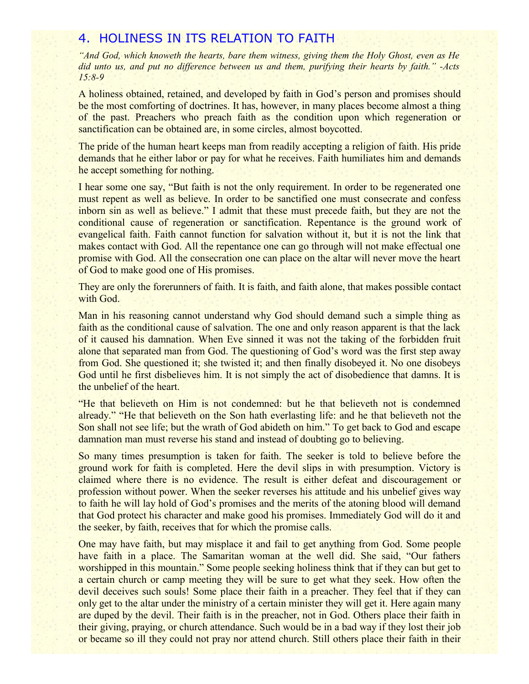#### 4. HOLINESS IN ITS RELATION TO FAITH

*"And God, which knoweth the hearts, bare them witness, giving them the Holy Ghost, even as He did unto us, and put no difference between us and them, purifying their hearts by faith." -Acts 15:8-9*

A holiness obtained, retained, and developed by faith in God's person and promises should be the most comforting of doctrines. It has, however, in many places become almost a thing of the past. Preachers who preach faith as the condition upon which regeneration or sanctification can be obtained are, in some circles, almost boycotted.

The pride of the human heart keeps man from readily accepting a religion of faith. His pride demands that he either labor or pay for what he receives. Faith humiliates him and demands he accept something for nothing.

I hear some one say, "But faith is not the only requirement. In order to be regenerated one must repent as well as believe. In order to be sanctified one must consecrate and confess inborn sin as well as believe." I admit that these must precede faith, but they are not the conditional cause of regeneration or sanctification. Repentance is the ground work of evangelical faith. Faith cannot function for salvation without it, but it is not the link that makes contact with God. All the repentance one can go through will not make effectual one promise with God. All the consecration one can place on the altar will never move the heart of God to make good one of His promises.

They are only the forerunners of faith. It is faith, and faith alone, that makes possible contact with God.

Man in his reasoning cannot understand why God should demand such a simple thing as faith as the conditional cause of salvation. The one and only reason apparent is that the lack of it caused his damnation. When Eve sinned it was not the taking of the forbidden fruit alone that separated man from God. The questioning of God's word was the first step away from God. She questioned it; she twisted it; and then finally disobeyed it. No one disobeys God until he first disbelieves him. It is not simply the act of disobedience that damns. It is the unbelief of the heart.

"He that believeth on Him is not condemned: but he that believeth not is condemned already." "He that believeth on the Son hath everlasting life: and he that believeth not the Son shall not see life; but the wrath of God abideth on him." To get back to God and escape damnation man must reverse his stand and instead of doubting go to believing.

So many times presumption is taken for faith. The seeker is told to believe before the ground work for faith is completed. Here the devil slips in with presumption. Victory is claimed where there is no evidence. The result is either defeat and discouragement or profession without power. When the seeker reverses his attitude and his unbelief gives way to faith he will lay hold of God's promises and the merits of the atoning blood will demand that God protect his character and make good his promises. Immediately God will do it and the seeker, by faith, receives that for which the promise calls.

One may have faith, but may misplace it and fail to get anything from God. Some people have faith in a place. The Samaritan woman at the well did. She said, "Our fathers worshipped in this mountain." Some people seeking holiness think that if they can but get to a certain church or camp meeting they will be sure to get what they seek. How often the devil deceives such souls! Some place their faith in a preacher. They feel that if they can only get to the altar under the ministry of a certain minister they will get it. Here again many are duped by the devil. Their faith is in the preacher, not in God. Others place their faith in their giving, praying, or church attendance. Such would be in a bad way if they lost their job or became so ill they could not pray nor attend church. Still others place their faith in their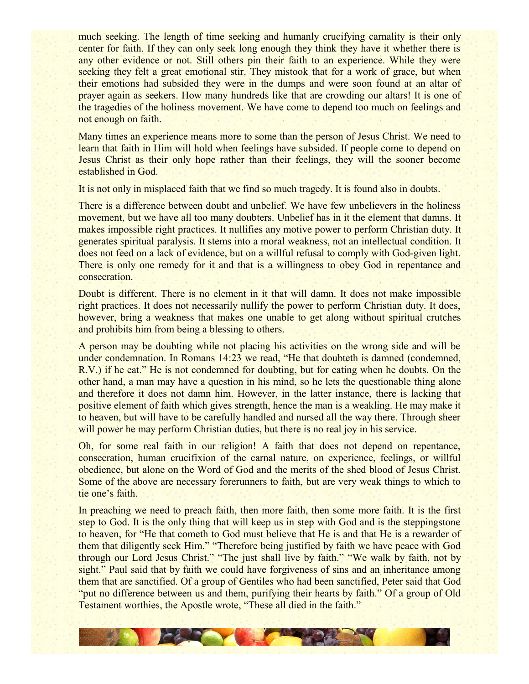much seeking. The length of time seeking and humanly crucifying carnality is their only center for faith. If they can only seek long enough they think they have it whether there is any other evidence or not. Still others pin their faith to an experience. While they were seeking they felt a great emotional stir. They mistook that for a work of grace, but when their emotions had subsided they were in the dumps and were soon found at an altar of prayer again as seekers. How many hundreds like that are crowding our altars! It is one of the tragedies of the holiness movement. We have come to depend too much on feelings and not enough on faith.

Many times an experience means more to some than the person of Jesus Christ. We need to learn that faith in Him will hold when feelings have subsided. If people come to depend on Jesus Christ as their only hope rather than their feelings, they will the sooner become established in God.

It is not only in misplaced faith that we find so much tragedy. It is found also in doubts.

There is a difference between doubt and unbelief. We have few unbelievers in the holiness movement, but we have all too many doubters. Unbelief has in it the element that damns. It makes impossible right practices. It nullifies any motive power to perform Christian duty. It generates spiritual paralysis. It stems into a moral weakness, not an intellectual condition. It does not feed on a lack of evidence, but on a willful refusal to comply with God-given light. There is only one remedy for it and that is a willingness to obey God in repentance and consecration.

Doubt is different. There is no element in it that will damn. It does not make impossible right practices. It does not necessarily nullify the power to perform Christian duty. It does, however, bring a weakness that makes one unable to get along without spiritual crutches and prohibits him from being a blessing to others.

A person may be doubting while not placing his activities on the wrong side and will be under condemnation. In Romans 14:23 we read, "He that doubteth is damned (condemned, R.V.) if he eat." He is not condemned for doubting, but for eating when he doubts. On the other hand, a man may have a question in his mind, so he lets the questionable thing alone and therefore it does not damn him. However, in the latter instance, there is lacking that positive element of faith which gives strength, hence the man is a weakling. He may make it to heaven, but will have to be carefully handled and nursed all the way there. Through sheer will power he may perform Christian duties, but there is no real joy in his service.

Oh, for some real faith in our religion! A faith that does not depend on repentance, consecration, human crucifixion of the carnal nature, on experience, feelings, or willful obedience, but alone on the Word of God and the merits of the shed blood of Jesus Christ. Some of the above are necessary forerunners to faith, but are very weak things to which to tie one's faith.

In preaching we need to preach faith, then more faith, then some more faith. It is the first step to God. It is the only thing that will keep us in step with God and is the steppingstone to heaven, for "He that cometh to God must believe that He is and that He is a rewarder of them that diligently seek Him." "Therefore being justified by faith we have peace with God through our Lord Jesus Christ." "The just shall live by faith." "We walk by faith, not by sight." Paul said that by faith we could have forgiveness of sins and an inheritance among them that are sanctified. Of a group of Gentiles who had been sanctified, Peter said that God "put no difference between us and them, purifying their hearts by faith." Of a group of Old Testament worthies, the Apostle wrote, "These all died in the faith."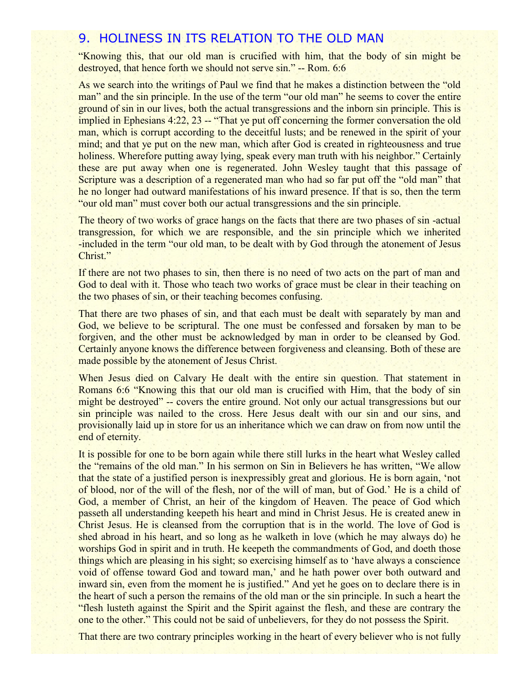#### 9. HOLINESS IN ITS RELATION TO THE OLD MAN

"Knowing this, that our old man is crucified with him, that the body of sin might be destroyed, that hence forth we should not serve sin." -- Rom. 6:6

As we search into the writings of Paul we find that he makes a distinction between the "old man" and the sin principle. In the use of the term "our old man" he seems to cover the entire ground of sin in our lives, both the actual transgressions and the inborn sin principle. This is implied in Ephesians 4:22, 23 -- "That ye put off concerning the former conversation the old man, which is corrupt according to the deceitful lusts; and be renewed in the spirit of your mind; and that ye put on the new man, which after God is created in righteousness and true holiness. Wherefore putting away lying, speak every man truth with his neighbor." Certainly these are put away when one is regenerated. John Wesley taught that this passage of Scripture was a description of a regenerated man who had so far put off the "old man" that he no longer had outward manifestations of his inward presence. If that is so, then the term "our old man" must cover both our actual transgressions and the sin principle.

The theory of two works of grace hangs on the facts that there are two phases of sin-actual transgression, for which we are responsible, and the sin principle which we inherited -included in the term "our old man, to be dealt with by God through the atonement of Jesus Christ."

If there are not two phases to sin, then there is no need of two acts on the part of man and God to deal with it. Those who teach two works of grace must be clear in their teaching on the two phases of sin, or their teaching becomes confusing.

That there are two phases of sin, and that each must be dealt with separately by man and God, we believe to be scriptural. The one must be confessed and forsaken by man to be forgiven, and the other must be acknowledged by man in order to be cleansed by God. Certainly anyone knows the difference between forgiveness and cleansing. Both of these are made possible by the atonement of Jesus Christ.

When Jesus died on Calvary He dealt with the entire sin question. That statement in Romans 6:6 "Knowing this that our old man is crucified with Him, that the body of sin might be destroyed" -- covers the entire ground. Not only our actual transgressions but our sin principle was nailed to the cross. Here Jesus dealt with our sin and our sins, and provisionally laid up in store for us an inheritance which we can draw on from now until the end of eternity.

It is possible for one to be born again while there still lurks in the heart what Wesley called the "remains of the old man." In his sermon on Sin in Believers he has written, "We allow that the state of a justified person is inexpressibly great and glorious. He is born again, 'not of blood, nor of the will of the flesh, nor of the will of man, but of God.' He is a child of God, a member of Christ, an heir of the kingdom of Heaven. The peace of God which passeth all understanding keepeth his heart and mind in Christ Jesus. He is created anew in Christ Jesus. He is cleansed from the corruption that is in the world. The love of God is shed abroad in his heart, and so long as he walketh in love (which he may always do) he worships God in spirit and in truth. He keepeth the commandments of God, and doeth those things which are pleasing in his sight; so exercising himself as to 'have always a conscience void of offense toward God and toward man,' and he hath power over both outward and inward sin, even from the moment he is justified." And yet he goes on to declare there is in the heart of such a person the remains of the old man or the sin principle. In such a heart the "flesh lusteth against the Spirit and the Spirit against the flesh, and these are contrary the one to the other." This could not be said of unbelievers, for they do not possess the Spirit.

That there are two contrary principles working in the heart of every believer who is not fully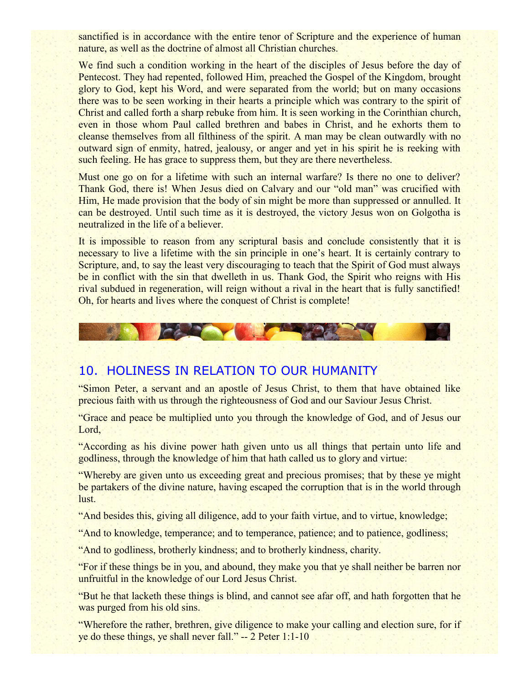sanctified is in accordance with the entire tenor of Scripture and the experience of human nature, as well as the doctrine of almost all Christian churches.

We find such a condition working in the heart of the disciples of Jesus before the day of Pentecost. They had repented, followed Him, preached the Gospel of the Kingdom, brought glory to God, kept his Word, and were separated from the world; but on many occasions there was to be seen working in their hearts a principle which was contrary to the spirit of Christ and called forth a sharp rebuke from him. It is seen working in the Corinthian church, even in those whom Paul called brethren and babes in Christ, and he exhorts them to cleanse themselves from all filthiness of the spirit. A man may be clean outwardly with no outward sign of enmity, hatred, jealousy, or anger and yet in his spirit he is reeking with such feeling. He has grace to suppress them, but they are there nevertheless.

Must one go on for a lifetime with such an internal warfare? Is there no one to deliver? Thank God, there is! When Jesus died on Calvary and our "old man" was crucified with Him. He made provision that the body of sin might be more than suppressed or annulled. It can be destroyed. Until such time as it is destroyed, the victory Jesus won on Golgotha is neutralized in the life of a believer.

It is impossible to reason from any scriptural basis and conclude consistently that it is necessary to live a lifetime with the sin principle in one's heart. It is certainly contrary to Scripture, and, to say the least very discouraging to teach that the Spirit of God must always be in conflict with the sin that dwelleth in us. Thank God, the Spirit who reigns with His rival subdued in regeneration, will reign without a rival in the heart that is fully sanctified! Oh, for hearts and lives where the conquest of Christ is complete!



## 10. HOLINESS IN RELATION TO OUR HUMANITY

"Simon Peter, a servant and an apostle of Jesus Christ, to them that have obtained like precious faith with us through the righteousness of God and our Saviour Jesus Christ.

"Grace and peace be multiplied unto you through the knowledge of God, and of Jesus our Lord,

"According as his divine power hath given unto us all things that pertain unto life and godliness, through the knowledge of him that hath called us to glory and virtue:

"Whereby are given unto us exceeding great and precious promises; that by these ye might be partakers of the divine nature, having escaped the corruption that is in the world through lust.

"And besides this, giving all diligence, add to your faith virtue, and to virtue, knowledge;

"And to knowledge, temperance; and to temperance, patience; and to patience, godliness;

"And to godliness, brotherly kindness; and to brotherly kindness, charity.

"For if these things be in you, and abound, they make you that ye shall neither be barren nor unfruitful in the knowledge of our Lord Jesus Christ.

"But he that lacketh these things is blind, and cannot see afar off, and hath forgotten that he was purged from his old sins.

"Wherefore the rather, brethren, give diligence to make your calling and election sure, for if ye do these things, ye shall never fall." -- 2 Peter 1:1-10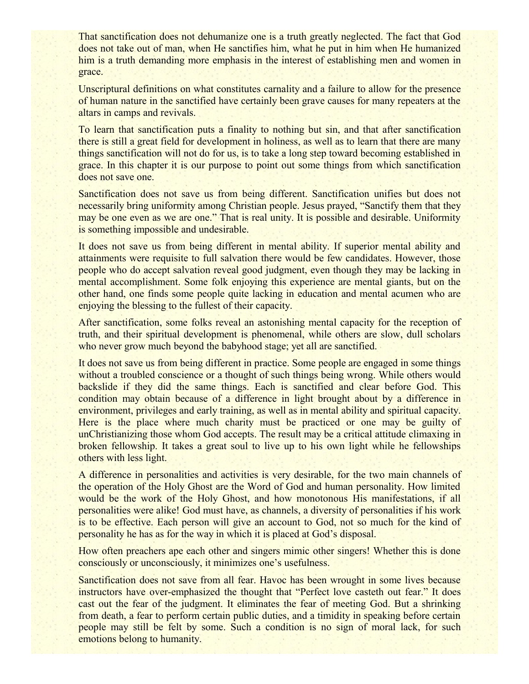That sanctification does not dehumanize one is a truth greatly neglected. The fact that God does not take out of man, when He sanctifies him, what he put in him when He humanized him is a truth demanding more emphasis in the interest of establishing men and women in grace.

Unscriptural definitions on what constitutes carnality and a failure to allow for the presence of human nature in the sanctified have certainly been grave causes for many repeaters at the altars in camps and revivals.

To learn that sanctification puts a finality to nothing but sin, and that after sanctification there is still a great field for development in holiness, as well as to learn that there are many things sanctification will not do for us, is to take a long step toward becoming established in grace. In this chapter it is our purpose to point out some things from which sanctification does not save one.

Sanctification does not save us from being different. Sanctification unifies but does not necessarily bring uniformity among Christian people. Jesus prayed, "Sanctify them that they may be one even as we are one." That is real unity. It is possible and desirable. Uniformity is something impossible and undesirable.

It does not save us from being different in mental ability. If superior mental ability and attainments were requisite to full salvation there would be few candidates. However, those people who do accept salvation reveal good judgment, even though they may be lacking in mental accomplishment. Some folk enjoying this experience are mental giants, but on the other hand, one finds some people quite lacking in education and mental acumen who are enjoying the blessing to the fullest of their capacity.

After sanctification, some folks reveal an astonishing mental capacity for the reception of truth, and their spiritual development is phenomenal, while others are slow, dull scholars who never grow much beyond the babyhood stage; yet all are sanctified.

It does not save us from being different in practice. Some people are engaged in some things without a troubled conscience or a thought of such things being wrong. While others would backslide if they did the same things. Each is sanctified and clear before God. This condition may obtain because of a difference in light brought about by a difference in environment, privileges and early training, as well as in mental ability and spiritual capacity. Here is the place where much charity must be practiced or one may be guilty of unChristianizing those whom God accepts. The result may be a critical attitude climaxing in broken fellowship. It takes a great soul to live up to his own light while he fellowships others with less light.

A difference in personalities and activities is very desirable, for the two main channels of the operation of the Holy Ghost are the Word of God and human personality. How limited would be the work of the Holy Ghost, and how monotonous His manifestations, if all personalities were alike! God must have, as channels, a diversity of personalities if his work is to be effective. Each person will give an account to God, not so much for the kind of personality he has as for the way in which it is placed at God's disposal.

How often preachers ape each other and singers mimic other singers! Whether this is done consciously or unconsciously, it minimizes one's usefulness.

Sanctification does not save from all fear. Havoc has been wrought in some lives because instructors have over-emphasized the thought that "Perfect love casteth out fear." It does cast out the fear of the judgment. It eliminates the fear of meeting God. But a shrinking from death, a fear to perform certain public duties, and a timidity in speaking before certain people may still be felt by some. Such a condition is no sign of moral lack, for such emotions belong to humanity.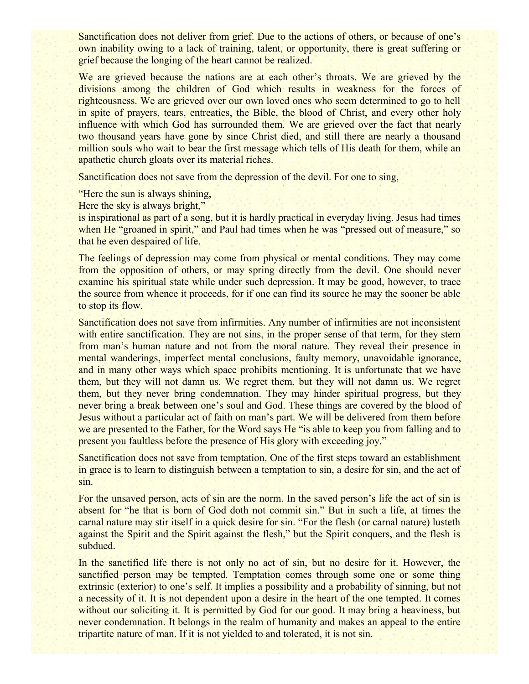Sanctification does not deliver from grief. Due to the actions of others, or because of one's own inability owing to a lack of training, talent, or opportunity, there is great suffering or grief because the longing of the heart cannot be realized.

We are grieved because the nations are at each other's throats. We are grieved by the divisions among the children of God which results in weakness for the forces of righteousness. We are grieved over our own loved ones who seem determined to go to hell in spite of prayers, tears, entreaties, the Bible, the blood of Christ, and every other holy influence with which God has surrounded them. We are grieved over the fact that nearly two thousand years have gone by since Christ died, and still there are nearly a thousand million souls who wait to bear the first message which tells of His death for them, while an apathetic church gloats over its material riches.

Sanctification does not save from the depression of the devil. For one to sing,

"Here the sun is always shining,

Here the sky is always bright,"

is inspirational as part of a song, but it is hardly practical in everyday living. Jesus had times when He "groaned in spirit," and Paul had times when he was "pressed out of measure," so that he even despaired of life.

The feelings of depression may come from physical or mental conditions. They may come from the opposition of others, or may spring directly from the devil. One should never examine his spiritual state while under such depression. It may be good, however, to trace the source from whence it proceeds, for if one can find its source he may the sooner be able to stop its flow.

Sanctification does not save from infirmities. Any number of infirmities are not inconsistent with entire sanctification. They are not sins, in the proper sense of that term, for they stem from man's human nature and not from the moral nature. They reveal their presence in mental wanderings, imperfect mental conclusions, faulty memory, unavoidable ignorance, and in many other ways which space prohibits mentioning. It is unfortunate that we have them, but they will not damn us. We regret them, but they will not damn us. We regret them, but they never bring condemnation. They may hinder spiritual progress, but they never bring a break between one's soul and God. These things are covered by the blood of Jesus without a particular act of faith on man's part. We will be delivered from them before we are presented to the Father, for the Word says He "is able to keep you from falling and to present you faultless before the presence of His glory with exceeding joy."

Sanctification does not save from temptation. One of the first steps toward an establishment in grace is to learn to distinguish between a temptation to sin, a desire for sin, and the act of sin.

For the unsaved person, acts of sin are the norm. In the saved person's life the act of sin is absent for "he that is born of God doth not commit sin." But in such a life, at times the carnal nature may stir itself in a quick desire for sin. "For the flesh (or carnal nature) lusteth against the Spirit and the Spirit against the flesh," but the Spirit conquers, and the flesh is subdued.

In the sanctified life there is not only no act of sin, but no desire for it. However, the sanctified person may be tempted. Temptation comes through some one or some thing extrinsic (exterior) to one's self. It implies a possibility and a probability of sinning, but not a necessity of it. It is not dependent upon a desire in the heart of the one tempted. It comes without our soliciting it. It is permitted by God for our good. It may bring a heaviness, but never condemnation. It belongs in the realm of humanity and makes an appeal to the entire tripartite nature of man. If it is not yielded to and tolerated, it is not sin.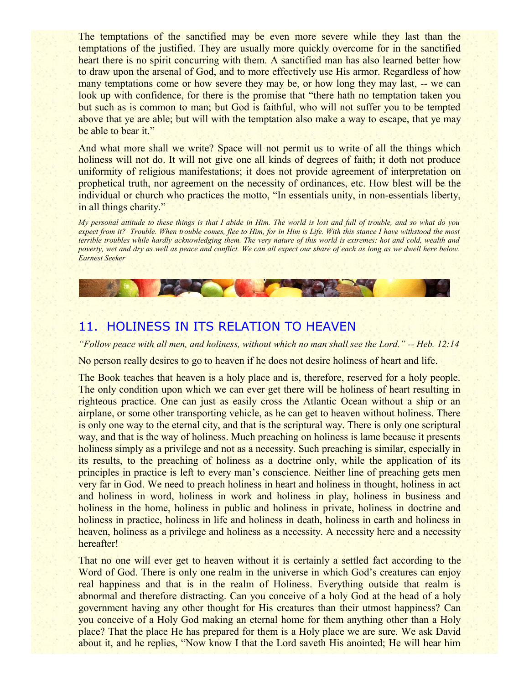The temptations of the sanctified may be even more severe while they last than the temptations of the justified. They are usually more quickly overcome for in the sanctified heart there is no spirit concurring with them. A sanctified man has also learned better how to draw upon the arsenal of God, and to more effectively use His armor. Regardless of how many temptations come or how severe they may be, or how long they may last, -- we can look up with confidence, for there is the promise that "there hath no temptation taken you but such as is common to man; but God is faithful, who will not suffer you to be tempted above that ye are able; but will with the temptation also make a way to escape, that ye may be able to bear it."

And what more shall we write? Space will not permit us to write of all the things which holiness will not do. It will not give one all kinds of degrees of faith; it doth not produce uniformity of religious manifestations; it does not provide agreement of interpretation on prophetical truth, nor agreement on the necessity of ordinances, etc. How blest will be the individual or church who practices the motto, "In essentials unity, in non-essentials liberty, in all things charity."

*My personal attitude to these things is that I abide in Him. The world is lost and full of trouble, and so what do you expect from it? Trouble. When trouble comes, flee to Him, for in Him is Life. With this stance I have withstood the most terrible troubles while hardly acknowledging them. The very nature of this world is extremes: hot and cold, wealth and poverty, wet and dry as well as peace and conflict. We can all expect our share of each as long as we dwell here below. Earnest Seeker*

### 11. HOLINESS IN ITS RELATION TO HEAVEN

**CARDY** 

*"Follow peace with all men, and holiness, without which no man shall see the Lord." -- Heb. 12:14*

No person really desires to go to heaven if he does not desire holiness of heart and life.

The Book teaches that heaven is a holy place and is, therefore, reserved for a holy people. The only condition upon which we can ever get there will be holiness of heart resulting in righteous practice. One can just as easily cross the Atlantic Ocean without a ship or an airplane, or some other transporting vehicle, as he can get to heaven without holiness. There is only one way to the eternal city, and that is the scriptural way. There is only one scriptural way, and that is the way of holiness. Much preaching on holiness is lame because it presents holiness simply as a privilege and not as a necessity. Such preaching is similar, especially in its results, to the preaching of holiness as a doctrine only, while the application of its principles in practice is left to every man's conscience. Neither line of preaching gets men very far in God. We need to preach holiness in heart and holiness in thought, holiness in act and holiness in word, holiness in work and holiness in play, holiness in business and holiness in the home, holiness in public and holiness in private, holiness in doctrine and holiness in practice, holiness in life and holiness in death, holiness in earth and holiness in heaven, holiness as a privilege and holiness as a necessity. A necessity here and a necessity hereafter!

That no one will ever get to heaven without it is certainly a settled fact according to the Word of God. There is only one realm in the universe in which God's creatures can enjoy real happiness and that is in the realm of Holiness. Everything outside that realm is abnormal and therefore distracting. Can you conceive of a holy God at the head of a holy government having any other thought for His creatures than their utmost happiness? Can you conceive of a Holy God making an eternal home for them anything other than a Holy place? That the place He has prepared for them is a Holy place we are sure. We ask David about it, and he replies, "Now know I that the Lord saveth His anointed; He will hear him